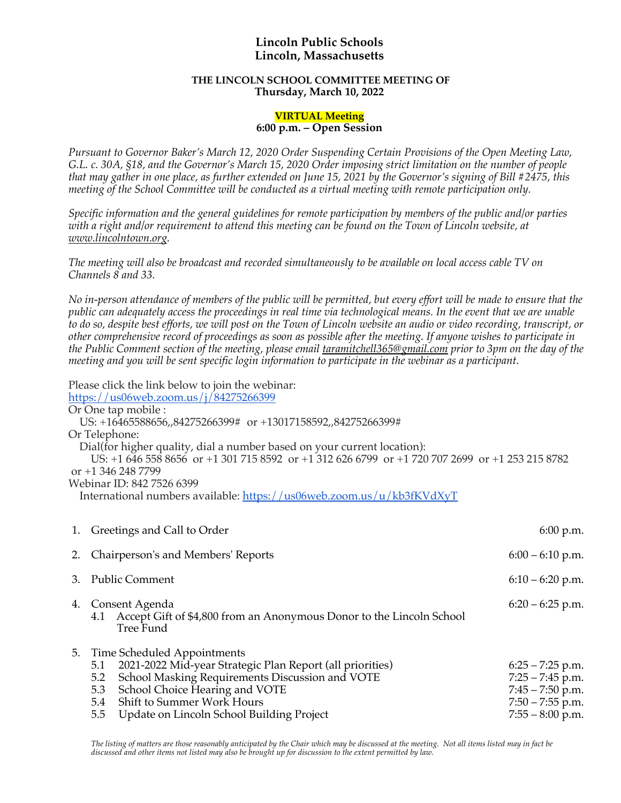## **Lincoln Public Schools Lincoln, Massachusetts**

## **THE LINCOLN SCHOOL COMMITTEE MEETING OF Thursday, March 10, 2022**

## **VIRTUAL Meeting**

## **6:00 p.m. – Open Session**

*Pursuant to Governor Baker's March 12, 2020 Order Suspending Certain Provisions of the Open Meeting Law, G.L. c. 30A, §18, and the Governor's March 15, 2020 Order imposing strict limitation on the number of people that may gather in one place, as further extended on June 15, 2021 by the Governor's signing of Bill #2475, this meeting of the School Committee will be conducted as a virtual meeting with remote participation only.*

*Specific information and the general guidelines for remote participation by members of the public and/or parties with a right and/or requirement to attend this meeting can be found on the Town of Lincoln website, at www.lincolntown.org.*

*The meeting will also be broadcast and recorded simultaneously to be available on local access cable TV on Channels 8 and 33.*

*No in-person attendance of members of the public will be permitted, but every effort will be made to ensure that the public can adequately access the proceedings in real time via technological means. In the event that we are unable to do so, despite best efforts, we will post on the Town of Lincoln website an audio or video recording, transcript, or other comprehensive record of proceedings as soon as possible after the meeting. If anyone wishes to participate in the Public Comment section of the meeting, please email taramitchell365@gmail.com prior to 3pm on the day of the meeting and you will be sent specific login information to participate in the webinar as a participant.*

Please click the link below to join the webinar:

https://us06web.zoom.us/j/84275266399

Or One tap mobile :

US: +16465588656,,84275266399# or +13017158592,,84275266399#

Or Telephone:

Dial(for higher quality, dial a number based on your current location):

US: +1 646 558 8656 or +1 301 715 8592 or +1 312 626 6799 or +1 720 707 2699 or +1 253 215 8782 or +1 346 248 7799

Webinar ID: 842 7526 6399

International numbers available: https://us06web.zoom.us/u/kb3fKVdXyT

|    | 1. Greetings and Call to Order                                                                                                                                                                                                                                                              | 6:00 p.m.                                                                                                  |
|----|---------------------------------------------------------------------------------------------------------------------------------------------------------------------------------------------------------------------------------------------------------------------------------------------|------------------------------------------------------------------------------------------------------------|
| 2. | Chairperson's and Members' Reports                                                                                                                                                                                                                                                          | $6:00 - 6:10$ p.m.                                                                                         |
| 3. | <b>Public Comment</b>                                                                                                                                                                                                                                                                       | $6:10 - 6:20$ p.m.                                                                                         |
| 4. | Consent Agenda<br>Accept Gift of \$4,800 from an Anonymous Donor to the Lincoln School<br>4.1<br>Tree Fund                                                                                                                                                                                  | $6:20 - 6:25$ p.m.                                                                                         |
| 5. | Time Scheduled Appointments<br>2021-2022 Mid-year Strategic Plan Report (all priorities)<br>5.1<br>School Masking Requirements Discussion and VOTE<br>5.2<br>School Choice Hearing and VOTE<br>5.3<br>Shift to Summer Work Hours<br>5.4<br>Update on Lincoln School Building Project<br>5.5 | $6:25 - 7:25$ p.m.<br>$7:25 - 7:45$ p.m.<br>$7:45 - 7:50$ p.m.<br>$7:50 - 7:55$ p.m.<br>$7:55 - 8:00$ p.m. |

The listing of matters are those reasonably anticipated by the Chair which may be discussed at the meeting. Not all items listed may in fact be *discussed and other items not listed may also be brought up for discussion to the extent permitted by law.*